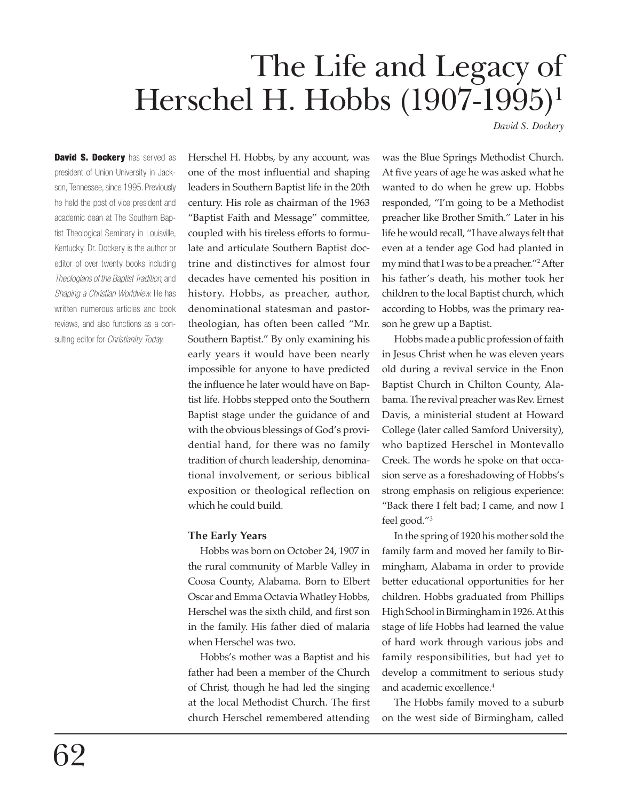# The Life and Legacy of Herschel H. Hobbs (1907-1995)1

*David S. Dockery*

David S. Dockery has served as president of Union University in Jackson, Tennessee, since 1995. Previously he held the post of vice president and academic dean at The Southern Baptist Theological Seminary in Louisville, Kentucky. Dr. Dockery is the author or editor of over twenty books including *Theologians of the Baptist Tradition,* and *Shaping a Christian Worldview.* He has written numerous articles and book reviews, and also functions as a consulting editor for *Christianity Today.*

Herschel H. Hobbs, by any account, was one of the most influential and shaping leaders in Southern Baptist life in the 20th century. His role as chairman of the 1963 "Baptist Faith and Message" committee, coupled with his tireless efforts to formulate and articulate Southern Baptist doctrine and distinctives for almost four decades have cemented his position in history. Hobbs, as preacher, author, denominational statesman and pastortheologian, has often been called "Mr. Southern Baptist." By only examining his early years it would have been nearly impossible for anyone to have predicted the influence he later would have on Baptist life. Hobbs stepped onto the Southern Baptist stage under the guidance of and with the obvious blessings of God's providential hand, for there was no family tradition of church leadership, denominational involvement, or serious biblical exposition or theological reflection on which he could build.

#### **The Early Years**

Hobbs was born on October 24, 1907 in the rural community of Marble Valley in Coosa County, Alabama. Born to Elbert Oscar and Emma Octavia Whatley Hobbs, Herschel was the sixth child, and first son in the family. His father died of malaria when Herschel was two.

Hobbs's mother was a Baptist and his father had been a member of the Church of Christ, though he had led the singing at the local Methodist Church. The first church Herschel remembered attending

was the Blue Springs Methodist Church. At five years of age he was asked what he wanted to do when he grew up. Hobbs responded, "I'm going to be a Methodist preacher like Brother Smith." Later in his life he would recall, "I have always felt that even at a tender age God had planted in my mind that I was to be a preacher."2 After his father's death, his mother took her children to the local Baptist church, which according to Hobbs, was the primary reason he grew up a Baptist.

Hobbs made a public profession of faith in Jesus Christ when he was eleven years old during a revival service in the Enon Baptist Church in Chilton County, Alabama. The revival preacher was Rev. Ernest Davis, a ministerial student at Howard College (later called Samford University), who baptized Herschel in Montevallo Creek. The words he spoke on that occasion serve as a foreshadowing of Hobbs's strong emphasis on religious experience: "Back there I felt bad; I came, and now I feel good."3

In the spring of 1920 his mother sold the family farm and moved her family to Birmingham, Alabama in order to provide better educational opportunities for her children. Hobbs graduated from Phillips High School in Birmingham in 1926. At this stage of life Hobbs had learned the value of hard work through various jobs and family responsibilities, but had yet to develop a commitment to serious study and academic excellence.<sup>4</sup>

The Hobbs family moved to a suburb on the west side of Birmingham, called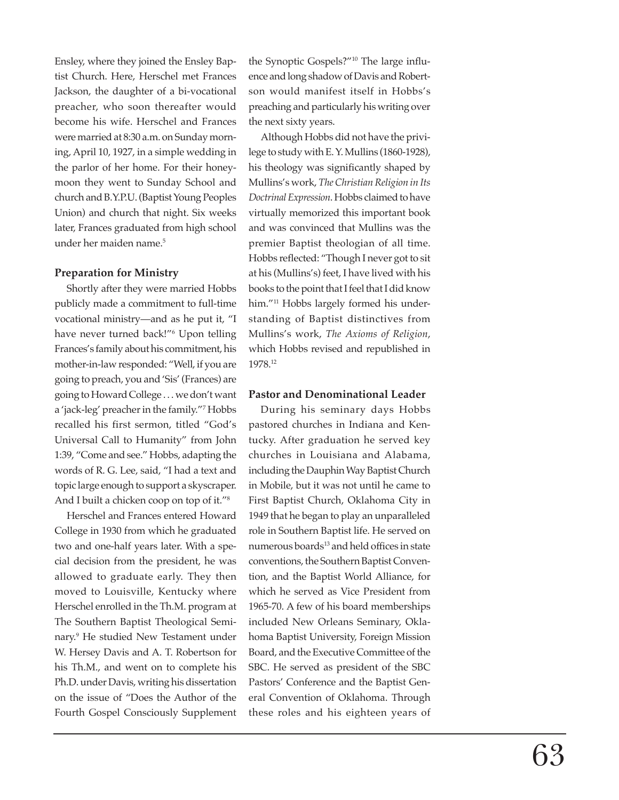Ensley, where they joined the Ensley Baptist Church. Here, Herschel met Frances Jackson, the daughter of a bi-vocational preacher, who soon thereafter would become his wife. Herschel and Frances were married at 8:30 a.m. on Sunday morning, April 10, 1927, in a simple wedding in the parlor of her home. For their honeymoon they went to Sunday School and church and B.Y.P.U. (Baptist Young Peoples Union) and church that night. Six weeks later, Frances graduated from high school under her maiden name.<sup>5</sup>

## **Preparation for Ministry**

Shortly after they were married Hobbs publicly made a commitment to full-time vocational ministry—and as he put it, "I have never turned back!"6 Upon telling Frances's family about his commitment, his mother-in-law responded: "Well, if you are going to preach, you and 'Sis' (Frances) are going to Howard College . . . we don't want a 'jack-leg' preacher in the family."7 Hobbs recalled his first sermon, titled "God's Universal Call to Humanity" from John 1:39, "Come and see." Hobbs, adapting the words of R. G. Lee, said, "I had a text and topic large enough to support a skyscraper. And I built a chicken coop on top of it."8

Herschel and Frances entered Howard College in 1930 from which he graduated two and one-half years later. With a special decision from the president, he was allowed to graduate early. They then moved to Louisville, Kentucky where Herschel enrolled in the Th.M. program at The Southern Baptist Theological Seminary.9 He studied New Testament under W. Hersey Davis and A. T. Robertson for his Th.M., and went on to complete his Ph.D. under Davis, writing his dissertation on the issue of "Does the Author of the Fourth Gospel Consciously Supplement

the Synoptic Gospels?"10 The large influence and long shadow of Davis and Robertson would manifest itself in Hobbs's preaching and particularly his writing over the next sixty years.

Although Hobbs did not have the privilege to study with E. Y. Mullins (1860-1928), his theology was significantly shaped by Mullins's work, *The Christian Religion in Its Doctrinal Expression*. Hobbs claimed to have virtually memorized this important book and was convinced that Mullins was the premier Baptist theologian of all time. Hobbs reflected: "Though I never got to sit at his (Mullins's) feet, I have lived with his books to the point that I feel that I did know him."<sup>11</sup> Hobbs largely formed his understanding of Baptist distinctives from Mullins's work, *The Axioms of Religion*, which Hobbs revised and republished in 1978.12

## **Pastor and Denominational Leader**

During his seminary days Hobbs pastored churches in Indiana and Kentucky. After graduation he served key churches in Louisiana and Alabama, including the Dauphin Way Baptist Church in Mobile, but it was not until he came to First Baptist Church, Oklahoma City in 1949 that he began to play an unparalleled role in Southern Baptist life. He served on numerous boards<sup>13</sup> and held offices in state conventions, the Southern Baptist Convention, and the Baptist World Alliance, for which he served as Vice President from 1965-70. A few of his board memberships included New Orleans Seminary, Oklahoma Baptist University, Foreign Mission Board, and the Executive Committee of the SBC. He served as president of the SBC Pastors' Conference and the Baptist General Convention of Oklahoma. Through these roles and his eighteen years of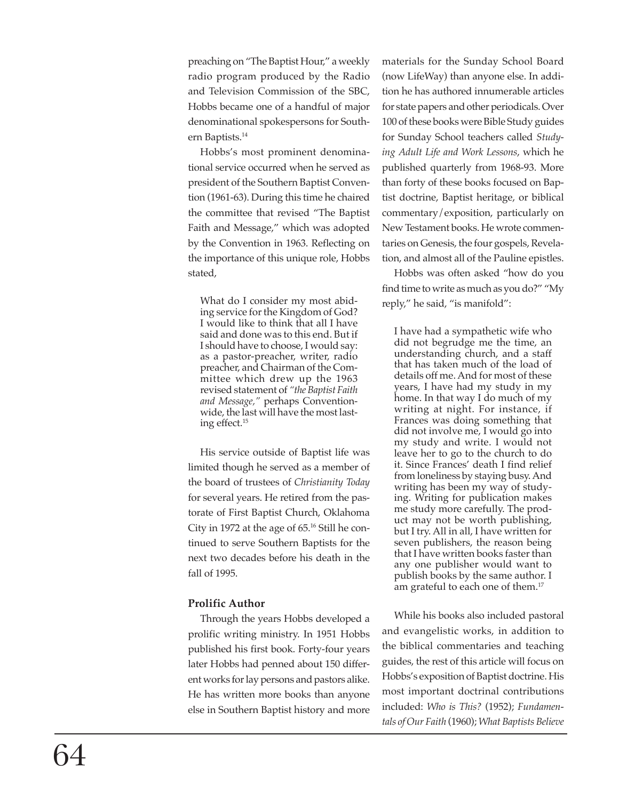preaching on "The Baptist Hour," a weekly radio program produced by the Radio and Television Commission of the SBC, Hobbs became one of a handful of major denominational spokespersons for Southern Baptists.14

Hobbs's most prominent denominational service occurred when he served as president of the Southern Baptist Convention (1961-63). During this time he chaired the committee that revised "The Baptist Faith and Message," which was adopted by the Convention in 1963. Reflecting on the importance of this unique role, Hobbs stated,

What do I consider my most abiding service for the Kingdom of God? I would like to think that all I have said and done was to this end. But if I should have to choose, I would say: as a pastor-preacher, writer, radio preacher, and Chairman of the Committee which drew up the 1963 revised statement of *"the Baptist Faith and Message,"* perhaps Conventionwide, the last will have the most lasting effect.15

His service outside of Baptist life was limited though he served as a member of the board of trustees of *Christianity Today* for several years. He retired from the pastorate of First Baptist Church, Oklahoma City in 1972 at the age of 65.16 Still he continued to serve Southern Baptists for the next two decades before his death in the fall of 1995.

# **Prolific Author**

Through the years Hobbs developed a prolific writing ministry. In 1951 Hobbs published his first book. Forty-four years later Hobbs had penned about 150 different works for lay persons and pastors alike. He has written more books than anyone else in Southern Baptist history and more materials for the Sunday School Board (now LifeWay) than anyone else. In addition he has authored innumerable articles for state papers and other periodicals. Over 100 of these books were Bible Study guides for Sunday School teachers called *Studying Adult Life and Work Lessons*, which he published quarterly from 1968-93. More than forty of these books focused on Baptist doctrine, Baptist heritage, or biblical commentary/exposition, particularly on New Testament books. He wrote commentaries on Genesis, the four gospels, Revelation, and almost all of the Pauline epistles.

Hobbs was often asked "how do you find time to write as much as you do?" "My reply," he said, "is manifold":

I have had a sympathetic wife who did not begrudge me the time, an understanding church, and a staff that has taken much of the load of details off me. And for most of these years, I have had my study in my home. In that way I do much of my writing at night. For instance, if Frances was doing something that did not involve me, I would go into my study and write. I would not leave her to go to the church to do it. Since Frances' death I find relief from loneliness by staying busy. And writing has been my way of studying. Writing for publication makes me study more carefully. The product may not be worth publishing, but I try. All in all, I have written for seven publishers, the reason being that I have written books faster than any one publisher would want to publish books by the same author. I am grateful to each one of them.17

While his books also included pastoral and evangelistic works, in addition to the biblical commentaries and teaching guides, the rest of this article will focus on Hobbs's exposition of Baptist doctrine. His most important doctrinal contributions included: *Who is This?* (1952); *Fundamentals of Our Faith* (1960); *What Baptists Believe*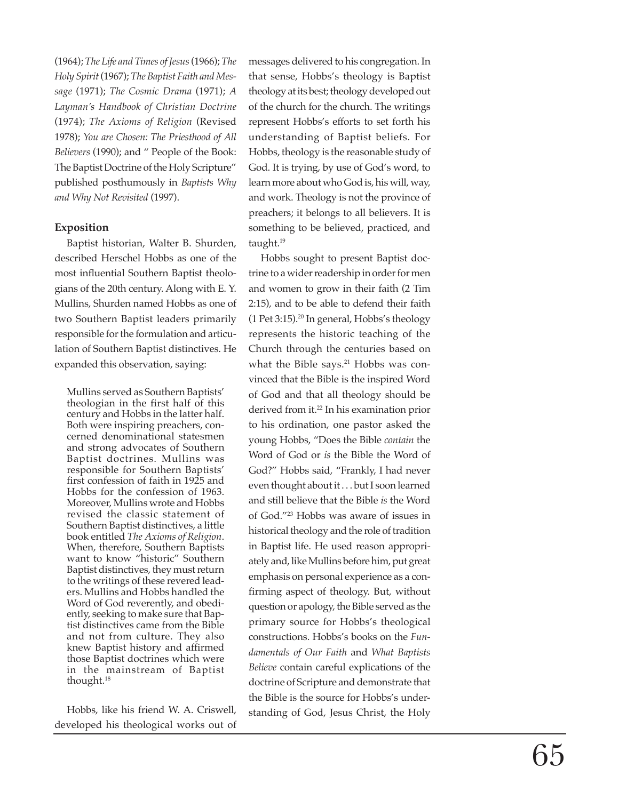(1964); *The Life and Times of Jesus* (1966); *The Holy Spirit* (1967); *The Baptist Faith and Message* (1971); *The Cosmic Drama* (1971); *A Layman's Handbook of Christian Doctrine* (1974); *The Axioms of Religion* (Revised 1978); *You are Chosen: The Priesthood of All Believers* (1990); and " People of the Book: The Baptist Doctrine of the Holy Scripture" published posthumously in *Baptists Why and Why Not Revisited* (1997).

## **Exposition**

Baptist historian, Walter B. Shurden, described Herschel Hobbs as one of the most influential Southern Baptist theologians of the 20th century. Along with E. Y. Mullins, Shurden named Hobbs as one of two Southern Baptist leaders primarily responsible for the formulation and articulation of Southern Baptist distinctives. He expanded this observation, saying:

Mullins served as Southern Baptists' theologian in the first half of this century and Hobbs in the latter half. Both were inspiring preachers, concerned denominational statesmen and strong advocates of Southern Baptist doctrines. Mullins was responsible for Southern Baptists' first confession of faith in 1925 and Hobbs for the confession of 1963. Moreover, Mullins wrote and Hobbs revised the classic statement of Southern Baptist distinctives, a little book entitled *The Axioms of Religion* . When, therefore, Southern Baptists want to know "historic" Southern Baptist distinctives, they must return to the writings of these revered leaders. Mullins and Hobbs handled the Word of God reverently, and obediently, seeking to make sure that Baptist distinctives came from the Bible and not from culture. They also knew Baptist history and affirmed those Baptist doctrines which were in the mainstream of Baptist thought.18

Hobbs, like his friend W. A. Criswell, developed his theological works out of

messages delivered to his congregation. In that sense, Hobbs's theology is Baptist theology at its best; theology developed out of the church for the church. The writings represent Hobbs's efforts to set forth his understanding of Baptist beliefs. For Hobbs, theology is the reasonable study of God. It is trying, by use of God's word, to learn more about who God is, his will, way, and work. Theology is not the province of preachers; it belongs to all believers. It is something to be believed, practiced, and taught.19

Hobbs sought to present Baptist doctrine to a wider readership in order for men and women to grow in their faith (2 Tim 2:15), and to be able to defend their faith  $(1$  Pet 3:15).<sup>20</sup> In general, Hobbs's theology represents the historic teaching of the Church through the centuries based on what the Bible says.<sup>21</sup> Hobbs was convinced that the Bible is the inspired Word of God and that all theology should be derived from it.22 In his examination prior to his ordination, one pastor asked the young Hobbs, "Does the Bible *contain* the Word of God or *is* the Bible the Word of God?" Hobbs said, "Frankly, I had never even thought about it . . . but I soon learned and still believe that the Bible *is* the Word of God."23 Hobbs was aware of issues in historical theology and the role of tradition in Baptist life. He used reason appropriately and, like Mullins before him, put great emphasis on personal experience as a confirming aspect of theology. But, without question or apology, the Bible served as the primary source for Hobbs's theological constructions. Hobbs's books on the *Fundamentals of Our Faith* and *What Baptists Believe* contain careful explications of the doctrine of Scripture and demonstrate that the Bible is the source for Hobbs's understanding of God, Jesus Christ, the Holy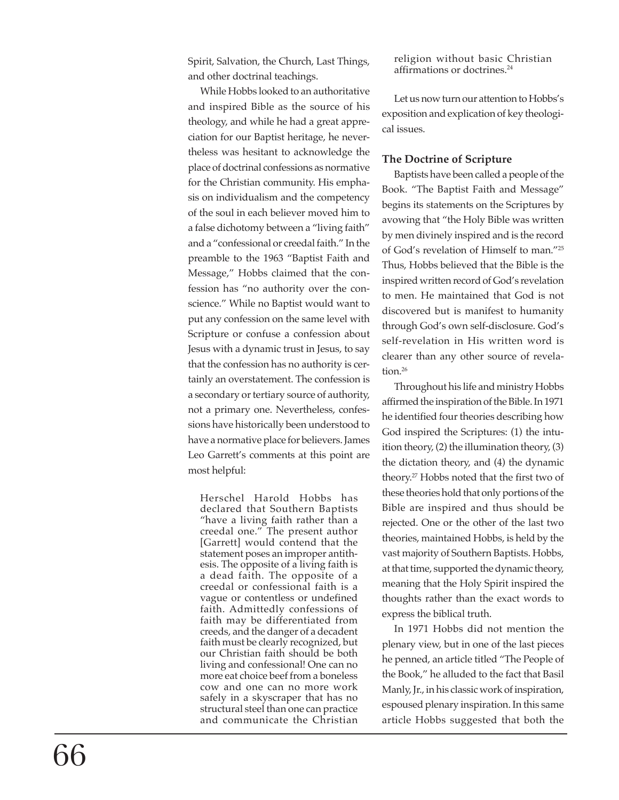Spirit, Salvation, the Church, Last Things, and other doctrinal teachings.

While Hobbs looked to an authoritative and inspired Bible as the source of his theology, and while he had a great appreciation for our Baptist heritage, he nevertheless was hesitant to acknowledge the place of doctrinal confessions as normative for the Christian community. His emphasis on individualism and the competency of the soul in each believer moved him to a false dichotomy between a "living faith" and a "confessional or creedal faith." In the preamble to the 1963 "Baptist Faith and Message," Hobbs claimed that the confession has "no authority over the conscience." While no Baptist would want to put any confession on the same level with Scripture or confuse a confession about Jesus with a dynamic trust in Jesus, to say that the confession has no authority is certainly an overstatement. The confession is a secondary or tertiary source of authority, not a primary one. Nevertheless, confessions have historically been understood to have a normative place for believers. James Leo Garrett's comments at this point are most helpful:

Herschel Harold Hobbs has declared that Southern Baptists "have a living faith rather than a creedal one." The present author [Garrett] would contend that the statement poses an improper antithesis. The opposite of a living faith is a dead faith. The opposite of a creedal or confessional faith is a vague or contentless or undefined faith. Admittedly confessions of faith may be differentiated from creeds, and the danger of a decadent faith must be clearly recognized, but our Christian faith should be both living and confessional! One can no more eat choice beef from a boneless cow and one can no more work safely in a skyscraper that has no structural steel than one can practice and communicate the Christian religion without basic Christian affirmations or doctrines.<sup>24</sup>

Let us now turn our attention to Hobbs's exposition and explication of key theological issues.

## **The Doctrine of Scripture**

Baptists have been called a people of the Book. "The Baptist Faith and Message" begins its statements on the Scriptures by avowing that "the Holy Bible was written by men divinely inspired and is the record of God's revelation of Himself to man."25 Thus, Hobbs believed that the Bible is the inspired written record of God's revelation to men. He maintained that God is not discovered but is manifest to humanity through God's own self-disclosure. God's self-revelation in His written word is clearer than any other source of revelation.<sup>26</sup>

Throughout his life and ministry Hobbs affirmed the inspiration of the Bible. In 1971 he identified four theories describing how God inspired the Scriptures: (1) the intuition theory, (2) the illumination theory, (3) the dictation theory, and (4) the dynamic theory.27 Hobbs noted that the first two of these theories hold that only portions of the Bible are inspired and thus should be rejected. One or the other of the last two theories, maintained Hobbs, is held by the vast majority of Southern Baptists. Hobbs, at that time, supported the dynamic theory, meaning that the Holy Spirit inspired the thoughts rather than the exact words to express the biblical truth.

In 1971 Hobbs did not mention the plenary view, but in one of the last pieces he penned, an article titled "The People of the Book," he alluded to the fact that Basil Manly, Jr., in his classic work of inspiration, espoused plenary inspiration. In this same article Hobbs suggested that both the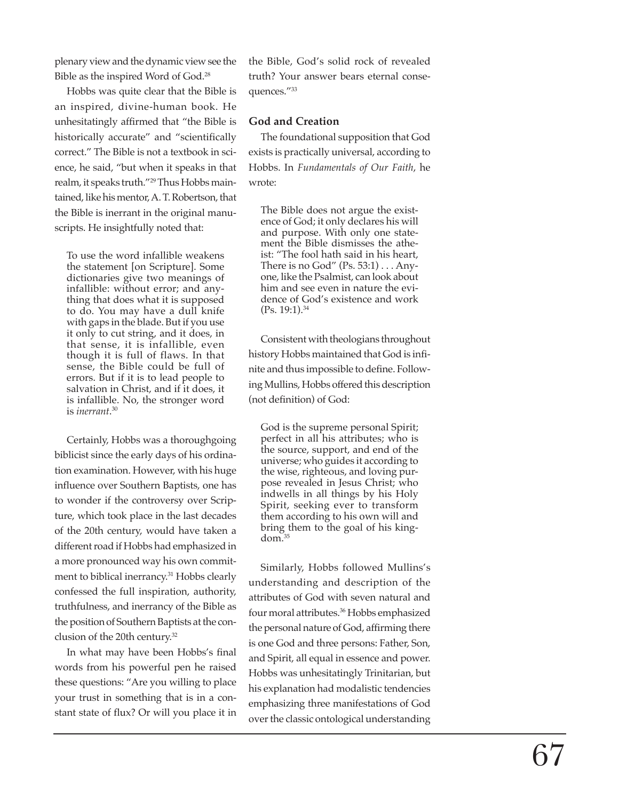plenary view and the dynamic view see the Bible as the inspired Word of God.28

Hobbs was quite clear that the Bible is an inspired, divine-human book. He unhesitatingly affirmed that "the Bible is historically accurate" and "scientifically correct." The Bible is not a textbook in science, he said, "but when it speaks in that realm, it speaks truth."29 Thus Hobbs maintained, like his mentor, A. T. Robertson, that the Bible is inerrant in the original manuscripts. He insightfully noted that:

To use the word infallible weakens the statement [on Scripture]. Some dictionaries give two meanings of infallible: without error; and anything that does what it is supposed to do. You may have a dull knife with gaps in the blade. But if you use it only to cut string, and it does, in that sense, it is infallible, even though it is full of flaws. In that sense, the Bible could be full of errors. But if it is to lead people to salvation in Christ, and if it does, it is infallible. No, the stronger word is *inerrant* . 30

Certainly, Hobbs was a thoroughgoing biblicist since the early days of his ordination examination. However, with his huge influence over Southern Baptists, one has to wonder if the controversy over Scripture, which took place in the last decades of the 20th century, would have taken a different road if Hobbs had emphasized in a more pronounced way his own commitment to biblical inerrancy.<sup>31</sup> Hobbs clearly confessed the full inspiration, authority, truthfulness, and inerrancy of the Bible as the position of Southern Baptists at the conclusion of the 20th century.32

In what may have been Hobbs's final words from his powerful pen he raised these questions: "Are you willing to place your trust in something that is in a constant state of flux? Or will you place it in

the Bible, God's solid rock of revealed truth? Your answer bears eternal consequences."33

#### **God and Creation**

The foundational supposition that God exists is practically universal, according to Hobbs. In *Fundamentals of Our Faith*, he wrote:

The Bible does not argue the existence of God; it only declares his will and purpose. With only one statement the Bible dismisses the atheist: "The fool hath said in his heart, There is no God" (Ps. 53:1) . . . Anyone, like the Psalmist, can look about him and see even in nature the evidence of God's existence and work  $(Ps. 19:1).^{34}$ 

Consistent with theologians throughout history Hobbs maintained that God is infinite and thus impossible to define. Following Mullins, Hobbs offered this description (not definition) of God:

God is the supreme personal Spirit; perfect in all his attributes; who is the source, support, and end of the universe; who guides it according to the wise, righteous, and loving purpose revealed in Jesus Christ; who indwells in all things by his Holy Spirit, seeking ever to transform them according to his own will and bring them to the goal of his kingdom.35

Similarly, Hobbs followed Mullins's understanding and description of the attributes of God with seven natural and four moral attributes.<sup>36</sup> Hobbs emphasized the personal nature of God, affirming there is one God and three persons: Father, Son, and Spirit, all equal in essence and power. Hobbs was unhesitatingly Trinitarian, but his explanation had modalistic tendencies emphasizing three manifestations of God over the classic ontological understanding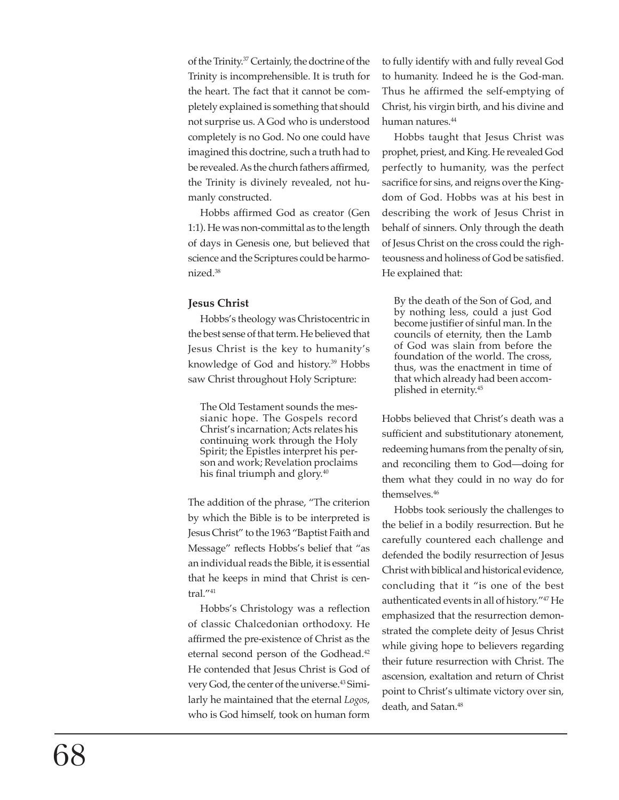of the Trinity.37 Certainly, the doctrine of the Trinity is incomprehensible. It is truth for the heart. The fact that it cannot be completely explained is something that should not surprise us. A God who is understood completely is no God. No one could have imagined this doctrine, such a truth had to be revealed. As the church fathers affirmed, the Trinity is divinely revealed, not humanly constructed.

Hobbs affirmed God as creator (Gen 1:1). He was non-committal as to the length of days in Genesis one, but believed that science and the Scriptures could be harmonized.38

## **Jesus Christ**

Hobbs's theology was Christocentric in the best sense of that term. He believed that Jesus Christ is the key to humanity's knowledge of God and history.39 Hobbs saw Christ throughout Holy Scripture:

The Old Testament sounds the messianic hope. The Gospels record Christ's incarnation; Acts relates his continuing work through the Holy Spirit; the Epistles interpret his person and work; Revelation proclaims his final triumph and glory.<sup>40</sup>

The addition of the phrase, "The criterion by which the Bible is to be interpreted is Jesus Christ" to the 1963 "Baptist Faith and Message" reflects Hobbs's belief that "as an individual reads the Bible, it is essential that he keeps in mind that Christ is central."41

Hobbs's Christology was a reflection of classic Chalcedonian orthodoxy. He affirmed the pre-existence of Christ as the eternal second person of the Godhead.<sup>42</sup> He contended that Jesus Christ is God of very God, the center of the universe.<sup>43</sup> Similarly he maintained that the eternal *Logos*, who is God himself, took on human form

to fully identify with and fully reveal God to humanity. Indeed he is the God-man. Thus he affirmed the self-emptying of Christ, his virgin birth, and his divine and human natures.<sup>44</sup>

Hobbs taught that Jesus Christ was prophet, priest, and King. He revealed God perfectly to humanity, was the perfect sacrifice for sins, and reigns over the Kingdom of God. Hobbs was at his best in describing the work of Jesus Christ in behalf of sinners. Only through the death of Jesus Christ on the cross could the righteousness and holiness of God be satisfied. He explained that:

By the death of the Son of God, and by nothing less, could a just God become justifier of sinful man. In the councils of eternity, then the Lamb of God was slain from before the foundation of the world. The cross, thus, was the enactment in time of that which already had been accomplished in eternity.45

Hobbs believed that Christ's death was a sufficient and substitutionary atonement, redeeming humans from the penalty of sin, and reconciling them to God—doing for them what they could in no way do for themselves.46

Hobbs took seriously the challenges to the belief in a bodily resurrection. But he carefully countered each challenge and defended the bodily resurrection of Jesus Christ with biblical and historical evidence, concluding that it "is one of the best authenticated events in all of history."47 He emphasized that the resurrection demonstrated the complete deity of Jesus Christ while giving hope to believers regarding their future resurrection with Christ. The ascension, exaltation and return of Christ point to Christ's ultimate victory over sin, death, and Satan.<sup>48</sup>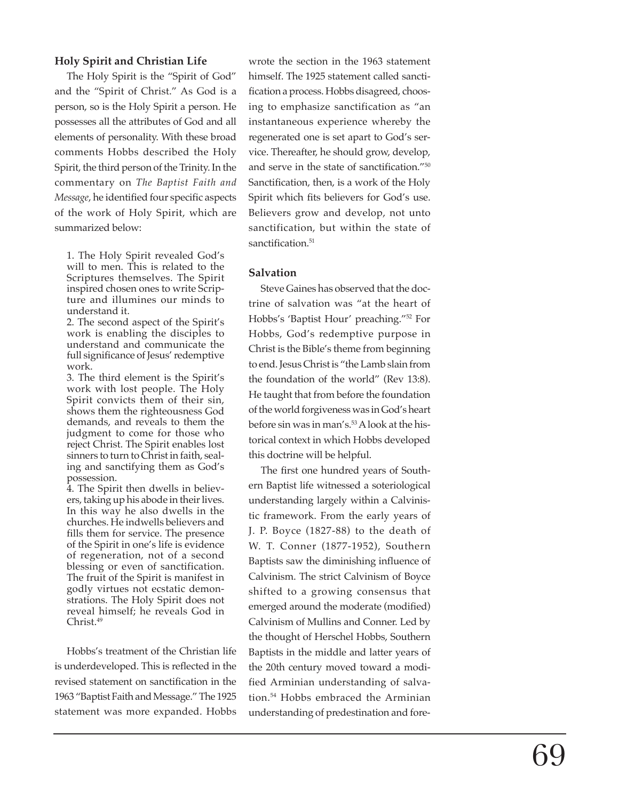## **Holy Spirit and Christian Life**

The Holy Spirit is the "Spirit of God" and the "Spirit of Christ." As God is a person, so is the Holy Spirit a person. He possesses all the attributes of God and all elements of personality. With these broad comments Hobbs described the Holy Spirit, the third person of the Trinity. In the commentary on *The Baptist Faith and Message*, he identified four specific aspects of the work of Holy Spirit, which are summarized below:

1. The Holy Spirit revealed God's will to men. This is related to the Scriptures themselves. The Spirit inspired chosen ones to write Scripture and illumines our minds to understand it.

2. The second aspect of the Spirit's work is enabling the disciples to understand and communicate the full significance of Jesus' redemptive work.

3. The third element is the Spirit's work with lost people. The Holy Spirit convicts them of their sin, shows them the righteousness God demands, and reveals to them the judgment to come for those who reject Christ. The Spirit enables lost sinners to turn to Christ in faith, sealing and sanctifying them as God's possession.

4. The Spirit then dwells in believers, taking up his abode in their lives. In this way he also dwells in the churches. He indwells believers and fills them for service. The presence of the Spirit in one's life is evidence of regeneration, not of a second blessing or even of sanctification. The fruit of the Spirit is manifest in godly virtues not ecstatic demonstrations. The Holy Spirit does not reveal himself; he reveals God in Christ.49

Hobbs's treatment of the Christian life is underdeveloped. This is reflected in the revised statement on sanctification in the 1963 "Baptist Faith and Message." The 1925 statement was more expanded. Hobbs

wrote the section in the 1963 statement himself. The 1925 statement called sanctification a process. Hobbs disagreed, choosing to emphasize sanctification as "an instantaneous experience whereby the regenerated one is set apart to God's service. Thereafter, he should grow, develop, and serve in the state of sanctification."50 Sanctification, then, is a work of the Holy Spirit which fits believers for God's use. Believers grow and develop, not unto sanctification, but within the state of sanctification<sup>51</sup>

## **Salvation**

Steve Gaines has observed that the doctrine of salvation was "at the heart of Hobbs's 'Baptist Hour' preaching."52 For Hobbs, God's redemptive purpose in Christ is the Bible's theme from beginning to end. Jesus Christ is "the Lamb slain from the foundation of the world" (Rev 13:8). He taught that from before the foundation of the world forgiveness was in God's heart before sin was in man's.<sup>53</sup> A look at the historical context in which Hobbs developed this doctrine will be helpful.

The first one hundred years of Southern Baptist life witnessed a soteriological understanding largely within a Calvinistic framework. From the early years of J. P. Boyce (1827-88) to the death of W. T. Conner (1877-1952), Southern Baptists saw the diminishing influence of Calvinism. The strict Calvinism of Boyce shifted to a growing consensus that emerged around the moderate (modified) Calvinism of Mullins and Conner. Led by the thought of Herschel Hobbs, Southern Baptists in the middle and latter years of the 20th century moved toward a modified Arminian understanding of salvation.54 Hobbs embraced the Arminian understanding of predestination and fore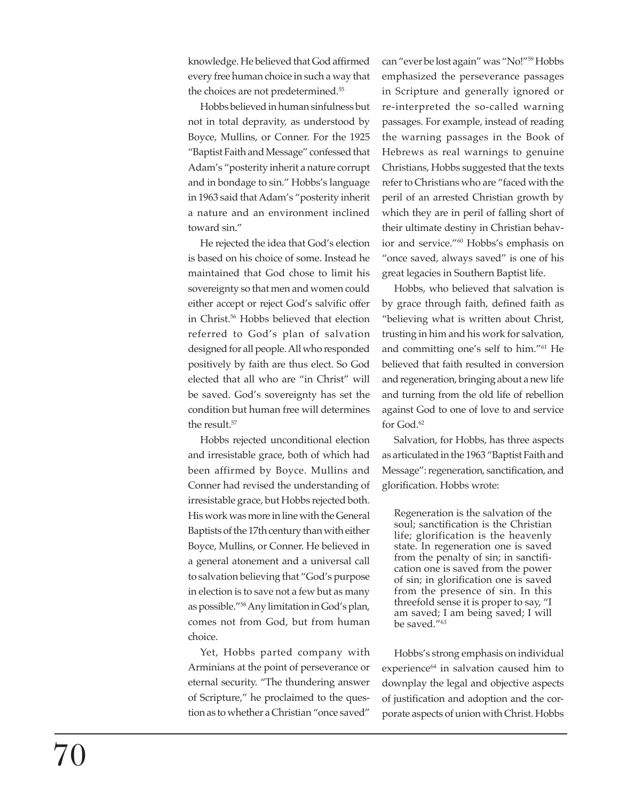knowledge. He believed that God affirmed every free human choice in such a way that the choices are not predetermined.<sup>55</sup>

Hobbs believed in human sinfulness but not in total depravity, as understood by Boyce, Mullins, or Conner. For the 1925 "Baptist Faith and Message" confessed that Adam's "posterity inherit a nature corrupt and in bondage to sin." Hobbs's language in 1963 said that Adam's "posterity inherit a nature and an environment inclined toward sin."

He rejected the idea that God's election is based on his choice of some. Instead he maintained that God chose to limit his sovereignty so that men and women could either accept or reject God's salvific offer in Christ.56 Hobbs believed that election referred to God's plan of salvation designed for all people. All who responded positively by faith are thus elect. So God elected that all who are "in Christ" will be saved. God's sovereignty has set the condition but human free will determines the result<sup>57</sup>

Hobbs rejected unconditional election and irresistable grace, both of which had been affirmed by Boyce. Mullins and Conner had revised the understanding of irresistable grace, but Hobbs rejected both. His work was more in line with the General Baptists of the 17th century than with either Boyce, Mullins, or Conner. He believed in a general atonement and a universal call to salvation believing that "God's purpose in election is to save not a few but as many as possible."58 Any limitation in God's plan, comes not from God, but from human choice.

Yet, Hobbs parted company with Arminians at the point of perseverance or eternal security. "The thundering answer of Scripture," he proclaimed to the question as to whether a Christian "once saved"

can "ever be lost again" was "No!"59 Hobbs emphasized the perseverance passages in Scripture and generally ignored or re-interpreted the so-called warning passages. For example, instead of reading the warning passages in the Book of Hebrews as real warnings to genuine Christians, Hobbs suggested that the texts refer to Christians who are "faced with the peril of an arrested Christian growth by which they are in peril of falling short of their ultimate destiny in Christian behavior and service."60 Hobbs's emphasis on "once saved, always saved" is one of his great legacies in Southern Baptist life.

Hobbs, who believed that salvation is by grace through faith, defined faith as "believing what is written about Christ, trusting in him and his work for salvation, and committing one's self to him."61 He believed that faith resulted in conversion and regeneration, bringing about a new life and turning from the old life of rebellion against God to one of love to and service for God.62

Salvation, for Hobbs, has three aspects as articulated in the 1963 "Baptist Faith and Message": regeneration, sanctification, and glorification. Hobbs wrote:

Regeneration is the salvation of the soul; sanctification is the Christian life; glorification is the heavenly state. In regeneration one is saved from the penalty of sin; in sanctification one is saved from the power of sin; in glorification one is saved from the presence of sin. In this threefold sense it is proper to say, "I am saved; I am being saved; I will be saved."63

Hobbs's strong emphasis on individual experience<sup>64</sup> in salvation caused him to downplay the legal and objective aspects of justification and adoption and the corporate aspects of union with Christ. Hobbs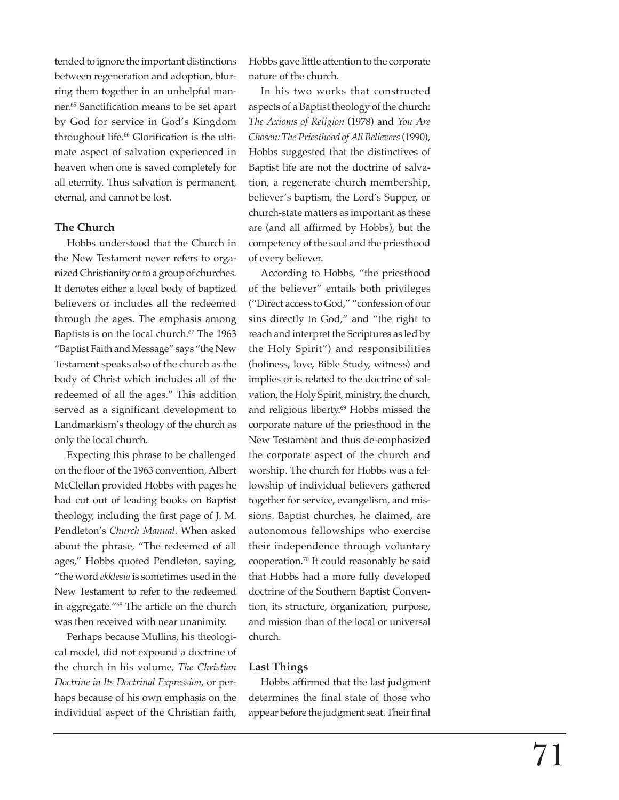tended to ignore the important distinctions between regeneration and adoption, blurring them together in an unhelpful manner.65 Sanctification means to be set apart by God for service in God's Kingdom throughout life.<sup>66</sup> Glorification is the ultimate aspect of salvation experienced in heaven when one is saved completely for all eternity. Thus salvation is permanent, eternal, and cannot be lost.

## **The Church**

Hobbs understood that the Church in the New Testament never refers to organized Christianity or to a group of churches. It denotes either a local body of baptized believers or includes all the redeemed through the ages. The emphasis among Baptists is on the local church.<sup>67</sup> The 1963 "Baptist Faith and Message" says "the New Testament speaks also of the church as the body of Christ which includes all of the redeemed of all the ages." This addition served as a significant development to Landmarkism's theology of the church as only the local church.

Expecting this phrase to be challenged on the floor of the 1963 convention, Albert McClellan provided Hobbs with pages he had cut out of leading books on Baptist theology, including the first page of J. M. Pendleton's *Church Manual*. When asked about the phrase, "The redeemed of all ages," Hobbs quoted Pendleton, saying, "the word *ekklesia* is sometimes used in the New Testament to refer to the redeemed in aggregate."68 The article on the church was then received with near unanimity.

Perhaps because Mullins, his theological model, did not expound a doctrine of the church in his volume, *The Christian Doctrine in Its Doctrinal Expression*, or perhaps because of his own emphasis on the individual aspect of the Christian faith, Hobbs gave little attention to the corporate nature of the church.

In his two works that constructed aspects of a Baptist theology of the church: *The Axioms of Religion* (1978) and *You Are Chosen: The Priesthood of All Believers* (1990), Hobbs suggested that the distinctives of Baptist life are not the doctrine of salvation, a regenerate church membership, believer's baptism, the Lord's Supper, or church-state matters as important as these are (and all affirmed by Hobbs), but the competency of the soul and the priesthood of every believer.

According to Hobbs, "the priesthood of the believer" entails both privileges ("Direct access to God," "confession of our sins directly to God," and "the right to reach and interpret the Scriptures as led by the Holy Spirit") and responsibilities (holiness, love, Bible Study, witness) and implies or is related to the doctrine of salvation, the Holy Spirit, ministry, the church, and religious liberty.<sup>69</sup> Hobbs missed the corporate nature of the priesthood in the New Testament and thus de-emphasized the corporate aspect of the church and worship. The church for Hobbs was a fellowship of individual believers gathered together for service, evangelism, and missions. Baptist churches, he claimed, are autonomous fellowships who exercise their independence through voluntary cooperation.<sup>70</sup> It could reasonably be said that Hobbs had a more fully developed doctrine of the Southern Baptist Convention, its structure, organization, purpose, and mission than of the local or universal church.

#### **Last Things**

Hobbs affirmed that the last judgment determines the final state of those who appear before the judgment seat. Their final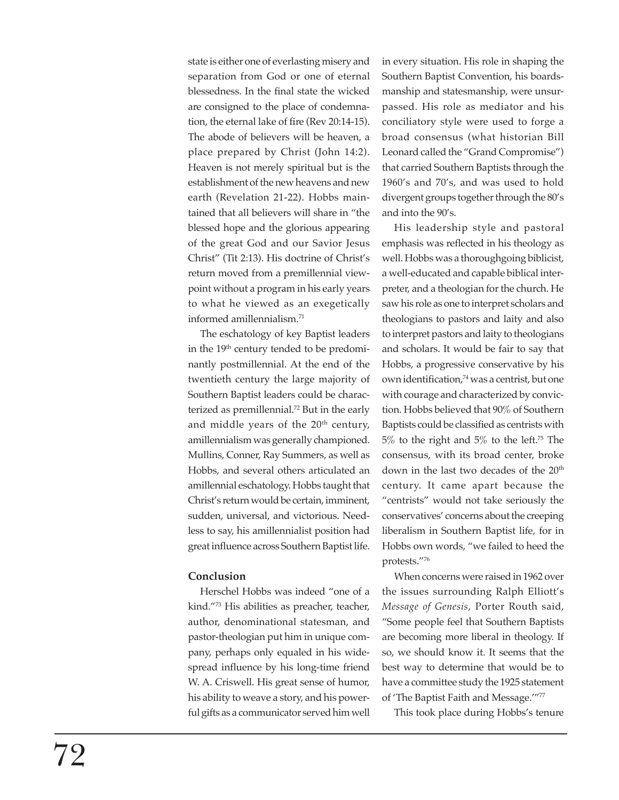state is either one of everlasting misery and separation from God or one of eternal blessedness. In the final state the wicked are consigned to the place of condemnation, the eternal lake of fire (Rev 20:14-15). The abode of believers will be heaven, a place prepared by Christ (John 14:2). Heaven is not merely spiritual but is the establishment of the new heavens and new earth (Revelation 21-22). Hobbs maintained that all believers will share in "the blessed hope and the glorious appearing of the great God and our Savior Jesus Christ" (Tit 2:13). His doctrine of Christ's return moved from a premillennial viewpoint without a program in his early years to what he viewed as an exegetically informed amillennialism.71

The eschatology of key Baptist leaders in the 19<sup>th</sup> century tended to be predominantly postmillennial. At the end of the twentieth century the large majority of Southern Baptist leaders could be characterized as premillennial.<sup>72</sup> But in the early and middle years of the  $20<sup>th</sup>$  century, amillennialism was generally championed. Mullins, Conner, Ray Summers, as well as Hobbs, and several others articulated an amillennial eschatology. Hobbs taught that Christ's return would be certain, imminent, sudden, universal, and victorious. Needless to say, his amillennialist position had great influence across Southern Baptist life.

#### **Conclusion**

Herschel Hobbs was indeed "one of a kind."73 His abilities as preacher, teacher, author, denominational statesman, and pastor-theologian put him in unique company, perhaps only equaled in his widespread influence by his long-time friend W. A. Criswell. His great sense of humor, his ability to weave a story, and his powerful gifts as a communicator served him well

in every situation. His role in shaping the Southern Baptist Convention, his boardsmanship and statesmanship, were unsurpassed. His role as mediator and his conciliatory style were used to forge a broad consensus (what historian Bill Leonard called the "Grand Compromise") that carried Southern Baptists through the 1960's and 70's, and was used to hold divergent groups together through the 80's and into the 90's.

His leadership style and pastoral emphasis was reflected in his theology as well. Hobbs was a thoroughgoing biblicist, a well-educated and capable biblical interpreter, and a theologian for the church. He saw his role as one to interpret scholars and theologians to pastors and laity and also to interpret pastors and laity to theologians and scholars. It would be fair to say that Hobbs, a progressive conservative by his own identification,74 was a centrist, but one with courage and characterized by conviction. Hobbs believed that 90% of Southern Baptists could be classified as centrists with 5% to the right and 5% to the left.75 The consensus, with its broad center, broke down in the last two decades of the 20<sup>th</sup> century. It came apart because the "centrists" would not take seriously the conservatives' concerns about the creeping liberalism in Southern Baptist life, for in Hobbs own words, "we failed to heed the protests."76

When concerns were raised in 1962 over the issues surrounding Ralph Elliott's *Message of Genesis*, Porter Routh said, "Some people feel that Southern Baptists are becoming more liberal in theology. If so, we should know it. It seems that the best way to determine that would be to have a committee study the 1925 statement of 'The Baptist Faith and Message.'"77

This took place during Hobbs's tenure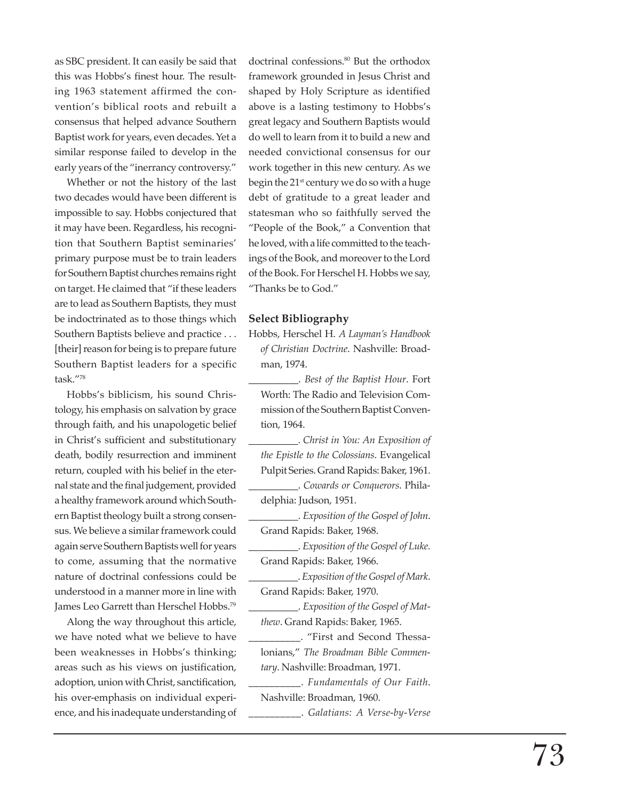as SBC president. It can easily be said that this was Hobbs's finest hour. The resulting 1963 statement affirmed the convention's biblical roots and rebuilt a consensus that helped advance Southern Baptist work for years, even decades. Yet a similar response failed to develop in the early years of the "inerrancy controversy."

Whether or not the history of the last two decades would have been different is impossible to say. Hobbs conjectured that it may have been. Regardless, his recognition that Southern Baptist seminaries' primary purpose must be to train leaders for Southern Baptist churches remains right on target. He claimed that "if these leaders are to lead as Southern Baptists, they must be indoctrinated as to those things which Southern Baptists believe and practice . . . [their] reason for being is to prepare future Southern Baptist leaders for a specific task."78

Hobbs's biblicism, his sound Christology, his emphasis on salvation by grace through faith, and his unapologetic belief in Christ's sufficient and substitutionary death, bodily resurrection and imminent return, coupled with his belief in the eternal state and the final judgement, provided a healthy framework around which Southern Baptist theology built a strong consensus. We believe a similar framework could again serve Southern Baptists well for years to come, assuming that the normative nature of doctrinal confessions could be understood in a manner more in line with James Leo Garrett than Herschel Hobbs.79

Along the way throughout this article, we have noted what we believe to have been weaknesses in Hobbs's thinking; areas such as his views on justification, adoption, union with Christ, sanctification, his over-emphasis on individual experience, and his inadequate understanding of

doctrinal confessions.<sup>80</sup> But the orthodox framework grounded in Jesus Christ and shaped by Holy Scripture as identified above is a lasting testimony to Hobbs's great legacy and Southern Baptists would do well to learn from it to build a new and needed convictional consensus for our work together in this new century. As we begin the 21<sup>st</sup> century we do so with a huge debt of gratitude to a great leader and statesman who so faithfully served the "People of the Book," a Convention that he loved, with a life committed to the teachings of the Book, and moreover to the Lord of the Book. For Herschel H. Hobbs we say, "Thanks be to God."

#### **Select Bibliography**

Hobbs, Herschel H. *A Layman's Handbook of Christian Doctrine*. Nashville: Broadman, 1974.

\_\_\_\_\_\_\_\_\_\_. *Best of the Baptist Hour*. Fort Worth: The Radio and Television Commission of the Southern Baptist Convention, 1964.

\_\_\_\_\_\_\_\_\_\_. *Christ in You: An Exposition of the Epistle to the Colossians*. Evangelical Pulpit Series. Grand Rapids: Baker, 1961. \_\_\_\_\_\_\_\_\_\_. *Cowards or Conquerors*. Phila-

delphia: Judson, 1951.

\_\_\_\_\_\_\_\_\_\_. *Exposition of the Gospel of John*. Grand Rapids: Baker, 1968.

\_\_\_\_\_\_\_\_\_\_. *Exposition of the Gospel of Luke.* Grand Rapids: Baker, 1966.

\_\_\_\_\_\_\_\_\_\_. *Exposition of the Gospel of Mark*. Grand Rapids: Baker, 1970.

\_\_\_\_\_\_\_\_\_\_. *Exposition of the Gospel of Matthew*. Grand Rapids: Baker, 1965.

\_\_\_\_\_\_\_\_\_\_. "First and Second Thessalonians," *The Broadman Bible Commentary*. Nashville: Broadman, 1971.

\_\_\_\_\_\_\_\_\_\_. *Fundamentals of Our Faith*. Nashville: Broadman, 1960.

\_\_\_\_\_\_\_\_\_\_. *Galatians: A Verse-by-Verse*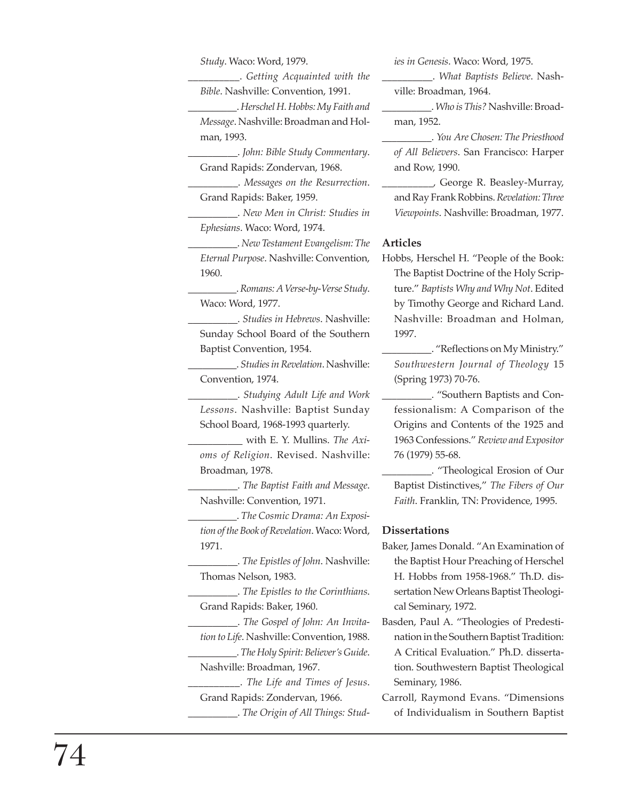| Study. Waco: Word, 1979.                    |     |
|---------------------------------------------|-----|
| . Getting Acquainted with the               |     |
| Bible. Nashville: Convention, 1991.         |     |
| -. Herschel H. Hobbs: My Faith and          |     |
| Message. Nashville: Broadman and Hol-       |     |
| man, 1993.                                  |     |
| . John: Bible Study Commentary.             |     |
| Grand Rapids: Zondervan, 1968.              |     |
| . Messages on the Resurrection.             |     |
| Grand Rapids: Baker, 1959.                  |     |
| New Men in Christ: Studies in. _            |     |
| Ephesians. Waco: Word, 1974.                |     |
| New Testament Evangelism: The               | Ar  |
| Eternal Purpose. Nashville: Convention,     | Hc  |
| 1960.                                       |     |
| . Romans: A Verse-by-Verse Study.           |     |
| Waco: Word, 1977.                           |     |
| . Studies in Hebrews. Nashville:            |     |
| Sunday School Board of the Southern         |     |
| Baptist Convention, 1954.                   |     |
| . Studies in Revelation. Nashville:         |     |
| Convention, 1974.                           |     |
| . Studying Adult Life and Work              |     |
| Lessons. Nashville: Baptist Sunday          |     |
| School Board, 1968-1993 quarterly.          |     |
| with E. Y. Mullins. The Axi-                |     |
| oms of Religion. Revised. Nashville:        |     |
| Broadman, 1978.                             |     |
| . The Baptist Faith and Message.            |     |
| Nashville: Convention, 1971.                |     |
| . The Cosmic Drama: An Exposi-              |     |
| tion of the Book of Revelation. Waco: Word, | Di  |
| 1971.                                       | Bal |
| . The Epistles of John. Nashville:          |     |
| Thomas Nelson, 1983.                        |     |
| . The Epistles to the Corinthians.          |     |
| Grand Rapids: Baker, 1960.                  |     |
| . The Gospel of John: An Invita-            | Bas |
| tion to Life. Nashville: Convention, 1988.  |     |
| . The Holy Spirit: Believer's Guide.        |     |
| Nashville: Broadman, 1967.                  |     |
| . The Life and Times of Jesus.              |     |
| Grand Rapids: Zondervan, 1966.              | Ca  |
| . The Origin of All Things: Stud-           |     |
|                                             |     |

*ies in Genesis*. Waco: Word, 1975.

- \_\_\_\_\_\_\_\_\_\_. *What Baptists Believe*. Nashville: Broadman, 1964.
- \_\_\_\_\_\_\_\_\_\_. *Who is This?* Nashville: Broadman, 1952.
- \_\_\_\_\_\_\_\_\_\_. *You Are Chosen: The Priesthood of All Believers*. San Francisco: Harper and Row, 1990.
- \_\_\_\_\_\_\_\_\_\_, George R. Beasley-Murray, and Ray Frank Robbins. *Revelation: Three Viewpoints*. Nashville: Broadman, 1977.

## **Articles**

bbbs, Herschel H. "People of the Book: The Baptist Doctrine of the Holy Scripture." *Baptists Why and Why Not*. Edited by Timothy George and Richard Land. Nashville: Broadman and Holman, 1997.

\_\_\_\_\_\_\_\_\_\_. "Reflections on My Ministry." *Southwestern Journal of Theology* 15 (Spring 1973) 70-76.

\_\_\_\_\_\_\_\_\_\_. "Southern Baptists and Confessionalism: A Comparison of the Origins and Contents of the 1925 and 1963 Confessions." *Review and Expositor* 76 (1979) 55-68.

\_\_\_\_\_\_\_\_\_\_. "Theological Erosion of Our Baptist Distinctives," *The Fibers of Our Faith*. Franklin, TN: Providence, 1995.

# **Dissertations**

- ker, James Donald. "An Examination of the Baptist Hour Preaching of Herschel H. Hobbs from 1958-1968." Th.D. dissertation New Orleans Baptist Theological Seminary, 1972.
- sden, Paul A. "Theologies of Predestination in the Southern Baptist Tradition: A Critical Evaluation." Ph.D. dissertation. Southwestern Baptist Theological Seminary, 1986.
- rroll, Raymond Evans. "Dimensions of Individualism in Southern Baptist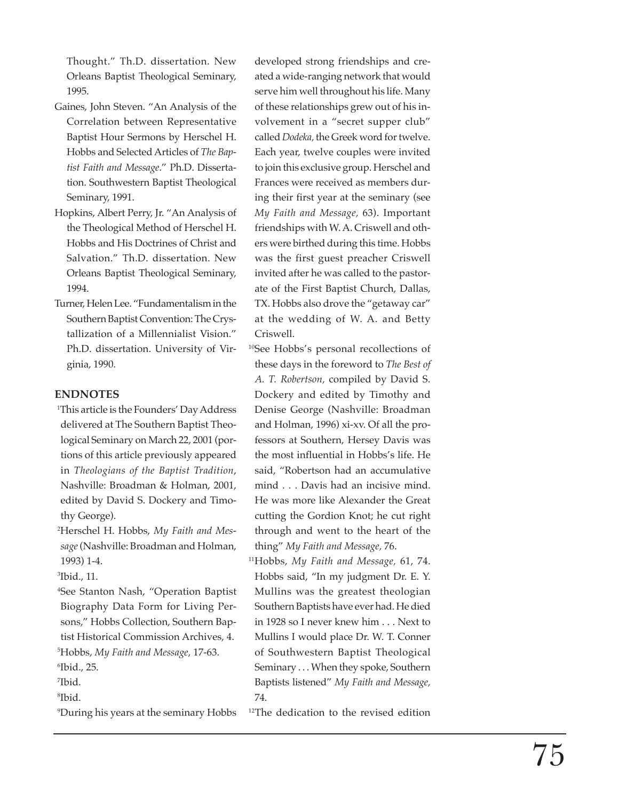Thought." Th.D. dissertation. New Orleans Baptist Theological Seminary, 1995.

- Gaines, John Steven. "An Analysis of the Correlation between Representative Baptist Hour Sermons by Herschel H. Hobbs and Selected Articles of *The Baptist Faith and Message*." Ph.D. Dissertation. Southwestern Baptist Theological Seminary, 1991.
- Hopkins, Albert Perry, Jr. "An Analysis of the Theological Method of Herschel H. Hobbs and His Doctrines of Christ and Salvation." Th.D. dissertation. New Orleans Baptist Theological Seminary, 1994.
- Turner, Helen Lee. "Fundamentalism in the Southern Baptist Convention: The Crystallization of a Millennialist Vision." Ph.D. dissertation. University of Virginia, 1990.

# **ENDNOTES**

<sup>1</sup>This article is the Founders' Day Address delivered at The Southern Baptist Theological Seminary on March 22, 2001 (portions of this article previously appeared in *Theologians of the Baptist Tradition*, Nashville: Broadman & Holman, 2001, edited by David S. Dockery and Timothy George).

22 Herschel H. Hobbs, *My Faith and Message* (Nashville: Broadman and Holman, 1993) 1-4.

<sup>3</sup>Ibid., 11.

4 See Stanton Nash, "Operation Baptist Biography Data Form for Living Persons," Hobbs Collection, Southern Baptist Historical Commission Archives, 4. 5 Hobbs, *My Faith and Message,* 17-63. 6 Ibid., 25.

7 Ibid.

8 Ibid.

9 During his years at the seminary Hobbs

developed strong friendships and created a wide-ranging network that would serve him well throughout his life. Many of these relationships grew out of his involvement in a "secret supper club" called *Dodeka,* the Greek word for twelve. Each year, twelve couples were invited to join this exclusive group. Herschel and Frances were received as members during their first year at the seminary (see *My Faith and Message,* 63). Important friendships with W. A. Criswell and others were birthed during this time. Hobbs was the first guest preacher Criswell invited after he was called to the pastorate of the First Baptist Church, Dallas, TX. Hobbs also drove the "getaway car" at the wedding of W. A. and Betty Criswell.

10See Hobbs's personal recollections of these days in the foreword to *The Best of A. T. Robertson,* compiled by David S. Dockery and edited by Timothy and Denise George (Nashville: Broadman and Holman, 1996) xi-xv. Of all the professors at Southern, Hersey Davis was the most influential in Hobbs's life. He said, "Robertson had an accumulative mind . . . Davis had an incisive mind. He was more like Alexander the Great cutting the Gordion Knot; he cut right through and went to the heart of the thing" *My Faith and Message,* 76.

11Hobbs, *My Faith and Message,* 61, 74. Hobbs said, "In my judgment Dr. E. Y. Mullins was the greatest theologian Southern Baptists have ever had. He died in 1928 so I never knew him . . . Next to Mullins I would place Dr. W. T. Conner of Southwestern Baptist Theological Seminary . . . When they spoke, Southern Baptists listened" *My Faith and Message,* 74.

<sup>12</sup>The dedication to the revised edition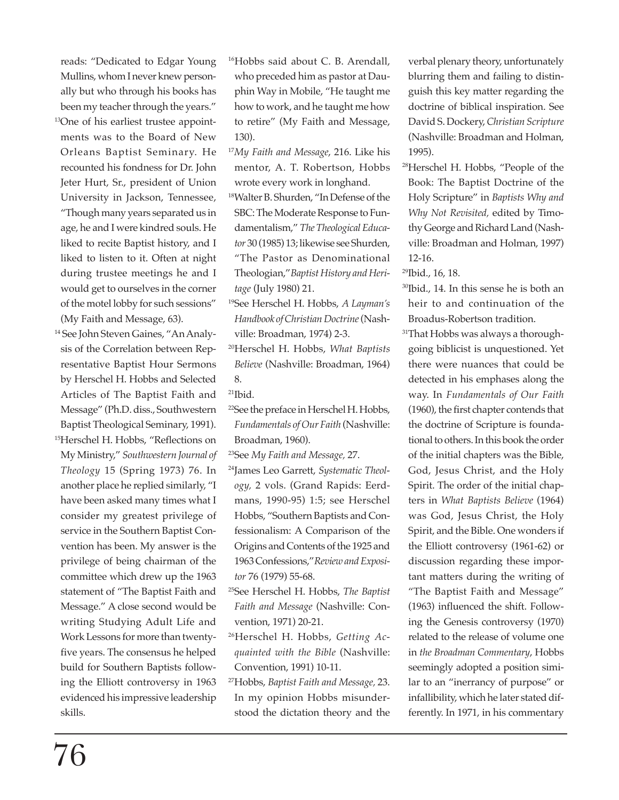reads: "Dedicated to Edgar Young Mullins, whom I never knew personally but who through his books has been my teacher through the years."

- 13One of his earliest trustee appointments was to the Board of New Orleans Baptist Seminary. He recounted his fondness for Dr. John Jeter Hurt, Sr., president of Union University in Jackson, Tennessee, "Though many years separated us in age, he and I were kindred souls. He liked to recite Baptist history, and I liked to listen to it. Often at night during trustee meetings he and I would get to ourselves in the corner of the motel lobby for such sessions" (My Faith and Message, 63).
- <sup>14</sup> See John Steven Gaines, "An Analysis of the Correlation between Representative Baptist Hour Sermons by Herschel H. Hobbs and Selected Articles of The Baptist Faith and Message" (Ph.D. diss., Southwestern Baptist Theological Seminary, 1991).
- 15Herschel H. Hobbs, "Reflections on My Ministry," *Southwestern Journal of Theology* 15 (Spring 1973) 76. In another place he replied similarly, "I have been asked many times what I consider my greatest privilege of service in the Southern Baptist Convention has been. My answer is the privilege of being chairman of the committee which drew up the 1963 statement of "The Baptist Faith and Message." A close second would be writing Studying Adult Life and Work Lessons for more than twentyfive years. The consensus he helped build for Southern Baptists following the Elliott controversy in 1963 evidenced his impressive leadership skills.

<sup>16</sup>Hobbs said about C. B. Arendall, who preceded him as pastor at Dauphin Way in Mobile, "He taught me how to work, and he taught me how to retire" (My Faith and Message, 130).

- <sup>17</sup>*My Faith and Message*, 216. Like his mentor, A. T. Robertson, Hobbs wrote every work in longhand.
- 18Walter B. Shurden, "In Defense of the SBC: The Moderate Response to Fundamentalism," *The Theological Educator* 30 (1985) 13; likewise see Shurden, "The Pastor as Denominational Theologian,"*Baptist History and Heritage* (July 1980) 21.
- 19See Herschel H. Hobbs, *A Layman's Handbook of Christian Doctrine* (Nashville: Broadman, 1974) 2-3.
- 20Herschel H. Hobbs, *What Baptists Believe* (Nashville: Broadman, 1964) 8.
- $21$ Ibid.
- 22See the preface in Herschel H. Hobbs, *Fundamentals of Our Faith* (Nashville: Broadman, 1960).
- 23See *My Faith and Message,* 27.
- 24James Leo Garrett, *Systematic Theology,* 2 vols. (Grand Rapids: Eerdmans, 1990-95) 1:5; see Herschel Hobbs, "Southern Baptists and Confessionalism: A Comparison of the Origins and Contents of the 1925 and 1963 Confessions,"*Review and Expositor* 76 (1979) 55-68.
- 25See Herschel H. Hobbs, *The Baptist Faith and Message* (Nashville: Convention, 1971) 20-21.
- 26Herschel H. Hobbs, *Getting Acquainted with the Bible* (Nashville: Convention, 1991) 10-11.
- 27Hobbs, *Baptist Faith and Message,* 23. In my opinion Hobbs misunderstood the dictation theory and the

verbal plenary theory, unfortunately blurring them and failing to distinguish this key matter regarding the doctrine of biblical inspiration. See David S. Dockery, *Christian Scripture* (Nashville: Broadman and Holman, 1995).

28Herschel H. Hobbs, "People of the Book: The Baptist Doctrine of the Holy Scripture" in *Baptists Why and Why Not Revisited,* edited by Timothy George and Richard Land (Nashville: Broadman and Holman, 1997) 12-16.

29Ibid., 16, 18.

- 30Ibid., 14. In this sense he is both an heir to and continuation of the Broadus-Robertson tradition.
- <sup>31</sup>That Hobbs was always a thoroughgoing biblicist is unquestioned. Yet there were nuances that could be detected in his emphases along the way. In *Fundamentals of Our Faith* (1960), the first chapter contends that the doctrine of Scripture is foundational to others. In this book the order of the initial chapters was the Bible, God, Jesus Christ, and the Holy Spirit. The order of the initial chapters in *What Baptists Believe* (1964) was God, Jesus Christ, the Holy Spirit, and the Bible. One wonders if the Elliott controversy (1961-62) or discussion regarding these important matters during the writing of "The Baptist Faith and Message" (1963) influenced the shift. Following the Genesis controversy (1970) related to the release of volume one in *the Broadman Commentary*, Hobbs seemingly adopted a position similar to an "inerrancy of purpose" or infallibility, which he later stated differently. In 1971, in his commentary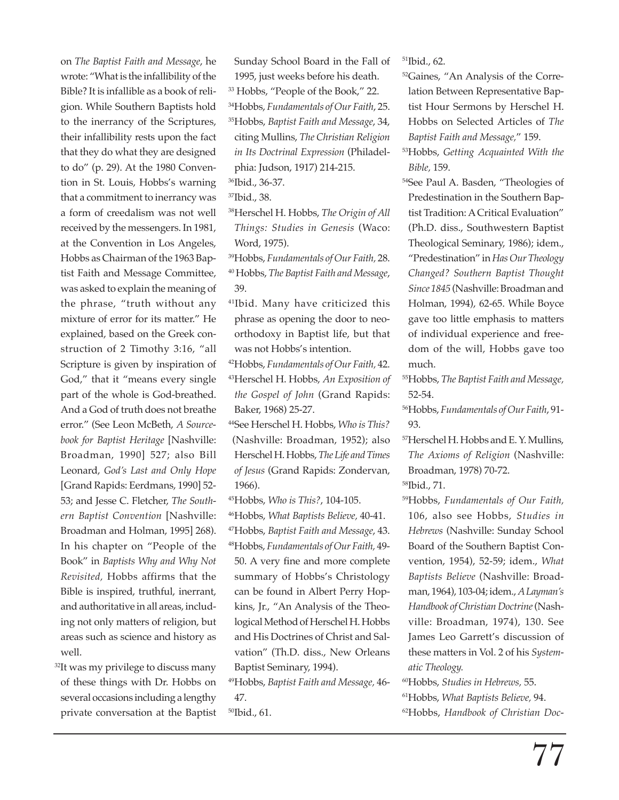on *The Baptist Faith and Message*, he wrote: "What is the infallibility of the Bible? It is infallible as a book of religion. While Southern Baptists hold to the inerrancy of the Scriptures, their infallibility rests upon the fact that they do what they are designed to do" (p. 29). At the 1980 Convention in St. Louis, Hobbs's warning that a commitment to inerrancy was a form of creedalism was not well received by the messengers. In 1981, at the Convention in Los Angeles, Hobbs as Chairman of the 1963 Baptist Faith and Message Committee, was asked to explain the meaning of the phrase, "truth without any mixture of error for its matter." He explained, based on the Greek construction of 2 Timothy 3:16, "all Scripture is given by inspiration of God," that it "means every single part of the whole is God-breathed. And a God of truth does not breathe error." (See Leon McBeth, *A Sourcebook for Baptist Heritage* [Nashville: Broadman, 1990] 527; also Bill Leonard, *God's Last and Only Hope* [Grand Rapids: Eerdmans, 1990] 52- 53; and Jesse C. Fletcher, *The Southern Baptist Convention* [Nashville: Broadman and Holman, 1995] 268). In his chapter on "People of the Book" in *Baptists Why and Why Not Revisited,* Hobbs affirms that the Bible is inspired, truthful, inerrant, and authoritative in all areas, including not only matters of religion, but areas such as science and history as well.

<sup>32</sup>It was my privilege to discuss many of these things with Dr. Hobbs on several occasions including a lengthy private conversation at the Baptist

Sunday School Board in the Fall of 1995, just weeks before his death. 33 Hobbs, "People of the Book," 22. 34Hobbs, *Fundamentals of Our Faith*, 25. 35Hobbs, *Baptist Faith and Message*, 34, citing Mullins, *The Christian Religion in Its Doctrinal Expression* (Philadelphia: Judson, 1917) 214-215.

36Ibid., 36-37.

- 38Herschel H. Hobbs, *The Origin of All Things: Studies in Genesis* (Waco: Word, 1975).
- 39Hobbs, *Fundamentals of Our Faith,* 28. 40 Hobbs, *The Baptist Faith and Message*, 39.
- 41Ibid. Many have criticized this phrase as opening the door to neoorthodoxy in Baptist life, but that was not Hobbs's intention.

42Hobbs, *Fundamentals of Our Faith,* 42.

43Herschel H. Hobbs, *An Exposition of the Gospel of John* (Grand Rapids: Baker, 1968) 25-27.

- 44See Herschel H. Hobbs, *Who is This?* (Nashville: Broadman, 1952); also Herschel H. Hobbs, *The Life and Times of Jesus* (Grand Rapids: Zondervan, 1966).
- 45Hobbs, *Who is This?*, 104-105.
- 46Hobbs, *What Baptists Believe,* 40-41. 47Hobbs, *Baptist Faith and Message*, 43. 48Hobbs, *Fundamentals of Our Faith,* 49- 50. A very fine and more complete summary of Hobbs's Christology can be found in Albert Perry Hopkins, Jr., "An Analysis of the Theological Method of Herschel H. Hobbs and His Doctrines of Christ and Salvation" (Th.D. diss., New Orleans Baptist Seminary, 1994).
- 49Hobbs, *Baptist Faith and Message,* 46- 47.

50Ibid., 61.

51Ibid., 62.

- 52Gaines, "An Analysis of the Correlation Between Representative Baptist Hour Sermons by Herschel H. Hobbs on Selected Articles of *The Baptist Faith and Message,*" 159.
- 53Hobbs, *Getting Acquainted With the Bible,* 159.
- 54See Paul A. Basden, "Theologies of Predestination in the Southern Baptist Tradition: A Critical Evaluation" (Ph.D. diss., Southwestern Baptist Theological Seminary, 1986); idem., "Predestination" in *Has Our Theology Changed? Southern Baptist Thought Since 1845* (Nashville: Broadman and Holman, 1994), 62-65. While Boyce gave too little emphasis to matters of individual experience and freedom of the will, Hobbs gave too much.
- 55Hobbs, *The Baptist Faith and Message,* 52-54.
- 56Hobbs, *Fundamentals of Our Faith*, 91- 93.
- 57Herschel H. Hobbs and E. Y. Mullins, *The Axioms of Religion* (Nashville: Broadman, 1978) 70-72.
- 58Ibid., 71.
- 59Hobbs, *Fundamentals of Our Faith,* 106, also see Hobbs, *Studies in Hebrews* (Nashville: Sunday School Board of the Southern Baptist Convention, 1954), 52-59; idem., *What Baptists Believe* (Nashville: Broadman, 1964), 103-04; idem., *A Layman's Handbook of Christian Doctrine* (Nashville: Broadman, 1974), 130. See James Leo Garrett's discussion of these matters in Vol. 2 of his *Systematic Theology.*
- 60Hobbs, *Studies in Hebrews,* 55.
- 61Hobbs, *What Baptists Believe,* 94.
- 62Hobbs, *Handbook of Christian Doc-*

<sup>37</sup>Ibid., 38.